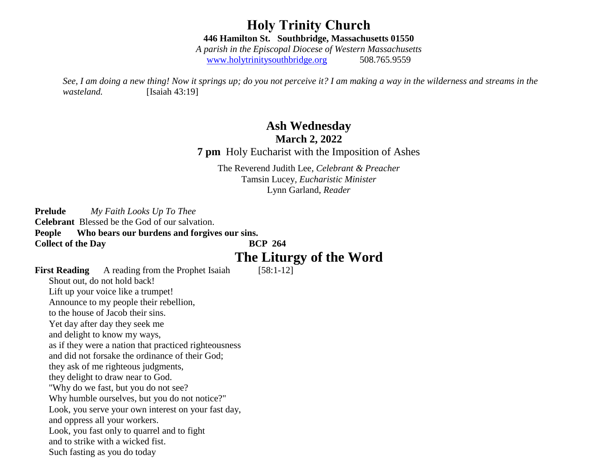#### **Holy Trinity Church 446 Hamilton St. Southbridge, Massachusetts 01550**

*A parish in the Episcopal Diocese of Western Massachusetts* [www.holytrinitysouthbridge.org](http://www.holytrinitysouthbridge.org/) 508.765.9559

*See, I am doing a new thing! Now it springs up; do you not perceive it? I am making a way in the wilderness and streams in the wasteland.* [Isaiah 43:19]

### **Ash Wednesday March 2, 2022**

**7 pm** Holy Eucharist with the Imposition of Ashes

The Reverend Judith Lee*, Celebrant & Preacher* Tamsin Lucey*, Eucharistic Minister* Lynn Garland, *Reader*

**Prelude** *My Faith Looks Up To Thee* **Celebrant** Blessed be the God of our salvation. **People****Who bears our burdens and forgives our sins. Collect of the Day BCP 264** 

# **The Liturgy of the Word**

**First Reading** A reading from the Prophet Isaiah [58:1-12] Shout out, do not hold back! Lift up your voice like a trumpet! Announce to my people their rebellion, to the house of Jacob their sins. Yet day after day they seek me and delight to know my ways, as if they were a nation that practiced righteousness and did not forsake the ordinance of their God; they ask of me righteous judgments, they delight to draw near to God. "Why do we fast, but you do not see? Why humble ourselves, but you do not notice?" Look, you serve your own interest on your fast day, and oppress all your workers. Look, you fast only to quarrel and to fight and to strike with a wicked fist. Such fasting as you do today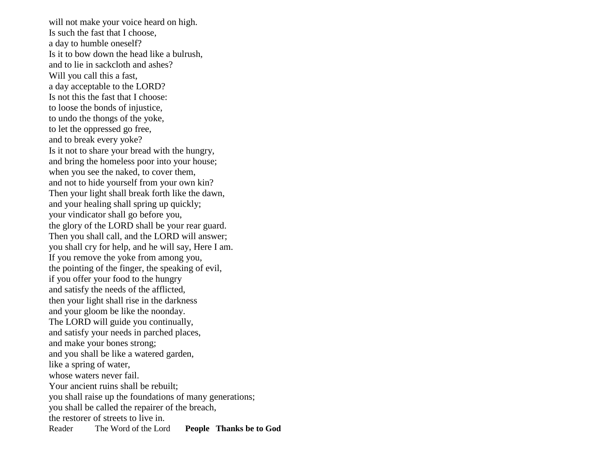will not make your voice heard on high. Is such the fast that I choose, a day to humble oneself? Is it to bow down the head like a bulrush, and to lie in sackcloth and ashes? Will you call this a fast, a day acceptable to the LORD? Is not this the fast that I choose: to loose the bonds of injustice, to undo the thongs of the yoke, to let the oppressed go free, and to break every yoke? Is it not to share your bread with the hungry, and bring the homeless poor into your house; when you see the naked, to cover them, and not to hide yourself from your own kin? Then your light shall break forth like the dawn, and your healing shall spring up quickly; your vindicator shall go before you, the glory of the LORD shall be your rear guard. Then you shall call, and the LORD will answer; you shall cry for help, and he will say, Here I am. If you remove the yoke from among you, the pointing of the finger, the speaking of evil, if you offer your food to the hungry and satisfy the needs of the afflicted, then your light shall rise in the darkness and your gloom be like the noonday. The LORD will guide you continually, and satisfy your needs in parched places, and make your bones strong; and you shall be like a watered garden, like a spring of water, whose waters never fail. Your ancient ruins shall be rebuilt; you shall raise up the foundations of many generations; you shall be called the repairer of the breach, the restorer of streets to live in. Reader The Word of the Lord **People Thanks be to God**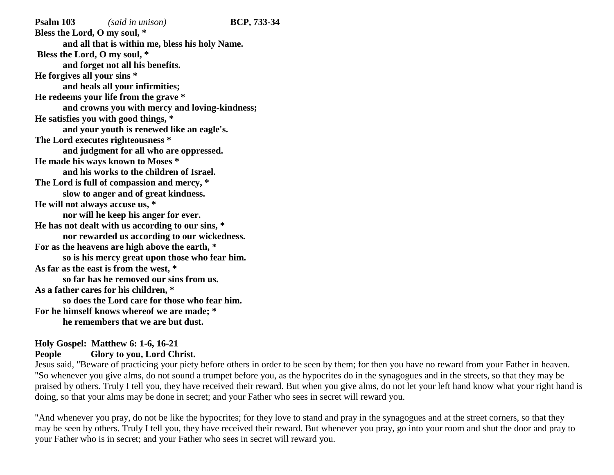**Psalm 103** *(said in unison)* **BCP, 733-34 Bless the Lord, O my soul, \* and all that is within me, bless his holy Name. Bless the Lord, O my soul, \* and forget not all his benefits. He forgives all your sins \* and heals all your infirmities; He redeems your life from the grave \* and crowns you with mercy and loving-kindness; He satisfies you with good things, \* and your youth is renewed like an eagle's. The Lord executes righteousness \* and judgment for all who are oppressed. He made his ways known to Moses \* and his works to the children of Israel. The Lord is full of compassion and mercy, \* slow to anger and of great kindness. He will not always accuse us, \* nor will he keep his anger for ever. He has not dealt with us according to our sins, \* nor rewarded us according to our wickedness. For as the heavens are high above the earth, \* so is his mercy great upon those who fear him. As far as the east is from the west, \* so far has he removed our sins from us. As a father cares for his children, \* so does the Lord care for those who fear him. For he himself knows whereof we are made; \* he remembers that we are but dust.**

#### **Holy Gospel: Matthew 6: 1-6, 16-21 People Glory to you, Lord Christ.**

Jesus said, "Beware of practicing your piety before others in order to be seen by them; for then you have no reward from your Father in heaven. "So whenever you give alms, do not sound a trumpet before you, as the hypocrites do in the synagogues and in the streets, so that they may be praised by others. Truly I tell you, they have received their reward. But when you give alms, do not let your left hand know what your right hand is doing, so that your alms may be done in secret; and your Father who sees in secret will reward you.

"And whenever you pray, do not be like the hypocrites; for they love to stand and pray in the synagogues and at the street corners, so that they may be seen by others. Truly I tell you, they have received their reward. But whenever you pray, go into your room and shut the door and pray to your Father who is in secret; and your Father who sees in secret will reward you.